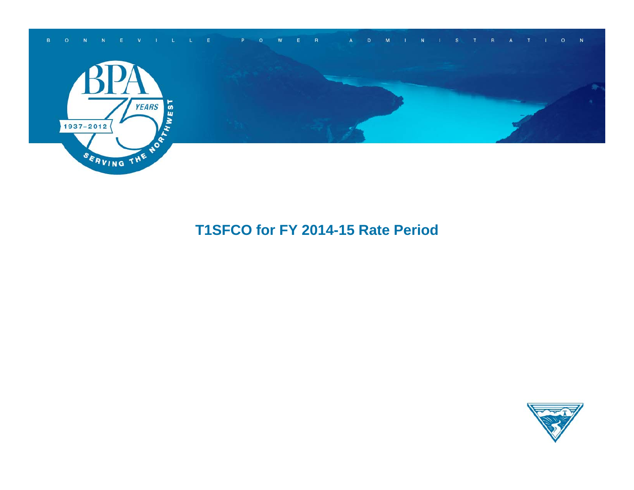$\mathbf{N}$  $\bar{\mathbf{N}}$  $\mathbf{P}$  $\bullet$ w  $\mathsf{M}$ **E**  $\mathbf{s}$ 





#### **T1SFCO for FY 2014-15 Rate Period**

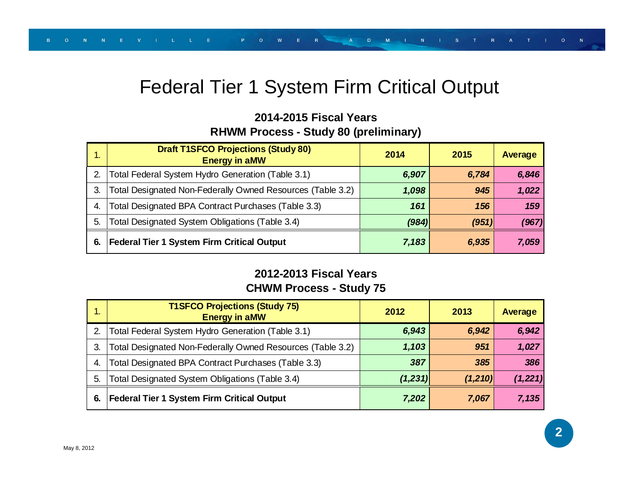#### **2014-2015 Fiscal YearsRHWM Process - Study 80 (preliminary)**

|    | <b>Draft T1SFCO Projections (Study 80)</b><br><b>Energy in aMW</b> | 2014  | 2015  | <b>Average</b> |
|----|--------------------------------------------------------------------|-------|-------|----------------|
|    | Total Federal System Hydro Generation (Table 3.1)                  | 6,907 | 6,784 | 6,846          |
| 3. | Total Designated Non-Federally Owned Resources (Table 3.2)         | 1,098 | 945   | 1,022          |
| 4. | Total Designated BPA Contract Purchases (Table 3.3)                | 161   | 156   | 159            |
| 5. | Total Designated System Obligations (Table 3.4)                    | (984) | (951) | (967)          |
| 6. | <b>Federal Tier 1 System Firm Critical Output</b>                  | 7,183 | 6,935 | 7,059          |

#### **2012-2013 Fiscal YearsCHWM Process - Study 75**

|    | <b>T1SFCO Projections (Study 75)</b><br><b>Energy in aMW</b> | 2012     | 2013    | <b>Average</b> |
|----|--------------------------------------------------------------|----------|---------|----------------|
| 2. | Total Federal System Hydro Generation (Table 3.1)            | 6,943    | 6,942   | 6,942          |
| 3. | Total Designated Non-Federally Owned Resources (Table 3.2)   | 1,103    | 951     | 1,027          |
| 4. | Total Designated BPA Contract Purchases (Table 3.3)          | 387      | 385     | 386            |
| 5. | Total Designated System Obligations (Table 3.4)              | (1, 231) | (1,210) | (1,221)        |
| 6. | <b>Federal Tier 1 System Firm Critical Output</b>            | 7,202    | 7,067   | 7,135          |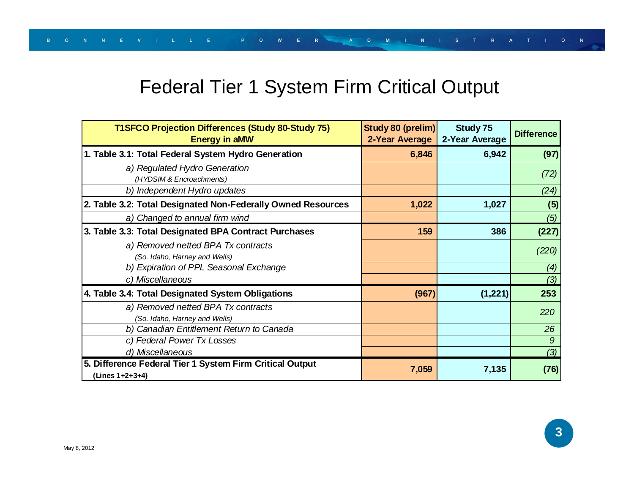| <b>T1SFCO Projection Differences (Study 80-Study 75)</b><br><b>Energy in aMW</b> | Study 80 (prelim)<br>2-Year Average | Study 75<br>2-Year Average | <b>Difference</b> |
|----------------------------------------------------------------------------------|-------------------------------------|----------------------------|-------------------|
| 1. Table 3.1: Total Federal System Hydro Generation                              | 6,846                               | 6,942                      | (97)              |
| a) Regulated Hydro Generation<br>(HYDSIM & Encroachments)                        |                                     |                            | (72)              |
| b) Independent Hydro updates                                                     |                                     |                            | (24)              |
| 2. Table 3.2: Total Designated Non-Federally Owned Resources                     | 1,022                               | 1,027                      | (5)               |
| a) Changed to annual firm wind                                                   |                                     |                            | (5)               |
| 3. Table 3.3: Total Designated BPA Contract Purchases                            | 159                                 | 386                        | (227)             |
| a) Removed netted BPA Tx contracts<br>(So. Idaho, Harney and Wells)              |                                     |                            | (220)             |
| b) Expiration of PPL Seasonal Exchange                                           |                                     |                            | (4)               |
| c) Miscellaneous                                                                 |                                     |                            | (3)               |
| 4. Table 3.4: Total Designated System Obligations                                | (967)                               | (1, 221)                   | 253               |
| a) Removed netted BPA Tx contracts<br>(So. Idaho, Harney and Wells)              |                                     |                            | 220               |
| b) Canadian Entitlement Return to Canada                                         |                                     |                            | 26                |
| c) Federal Power Tx Losses                                                       |                                     |                            | 9                 |
| d) Miscellaneous                                                                 |                                     |                            | (3)               |
| 5. Difference Federal Tier 1 System Firm Critical Output                         | 7,059                               | 7,135                      | (76)              |
| (Lines 1+2+3+4)                                                                  |                                     |                            |                   |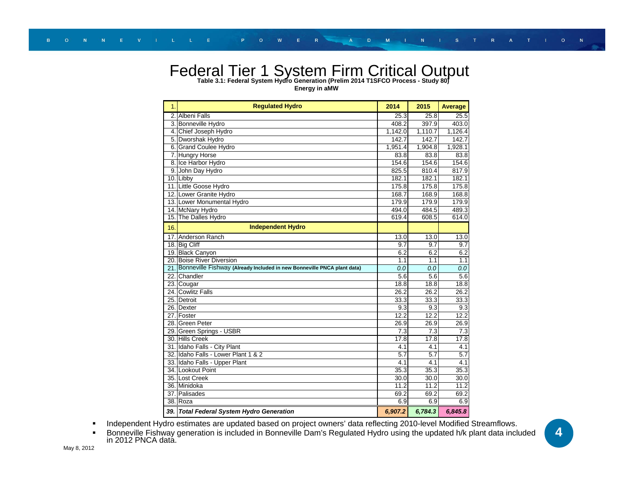# Federal Tier 1 System Firm Critical Output **Table 3.1: Federal System Hydro Generation (Prelim 2014 T1SFCO Process - Study 80)**

**Energy in aMW**

| 1.  | <b>Regulated Hydro</b>                                                      | 2014    | 2015    | <b>Average</b> |
|-----|-----------------------------------------------------------------------------|---------|---------|----------------|
|     | 2. Albeni Falls                                                             | 25.3    | 25.8    | 25.5           |
|     | 3. Bonneville Hydro                                                         | 408.2   | 397.9   | 403.0          |
|     | 4. Chief Joseph Hydro                                                       | 1,142.0 | 1,110.7 | 1,126.4        |
|     | 5. Dworshak Hydro                                                           | 142.7   | 142.7   | 142.7          |
|     | 6. Grand Coulee Hydro                                                       | 1,951.4 | 1,904.8 | 1,928.1        |
|     | 7. Hungry Horse                                                             | 83.8    | 83.8    | 83.8           |
|     | 8. Ice Harbor Hydro                                                         | 154.6   | 154.6   | 154.6          |
|     | 9. John Day Hydro                                                           | 825.5   | 810.4   | 817.9          |
|     | 10. Libby                                                                   | 182.1   | 182.1   | 182.1          |
|     | 11. Little Goose Hydro                                                      | 175.8   | 175.8   | 175.8          |
|     | 12. Lower Granite Hydro                                                     | 168.7   | 168.9   | 168.8          |
|     | 13. Lower Monumental Hydro                                                  | 179.9   | 179.9   | 179.9          |
|     | 14. McNary Hydro                                                            | 494.0   | 484.5   | 489.3          |
|     | 15. The Dalles Hydro                                                        | 619.4   | 608.5   | 614.0          |
| 16. | <b>Independent Hydro</b>                                                    |         |         |                |
| 17. | <b>Anderson Ranch</b>                                                       | 13.0    | 13.0    | 13.0           |
|     | 18. Big Cliff                                                               | 9.7     | 9.7     | 9.7            |
|     | 19. Black Canyon                                                            | 6.2     | 6.2     | 6.2            |
|     | 20. Boise River Diversion                                                   | 1.1     | 1.1     | 1.1            |
|     | 21. Bonneville Fishway (Already Included in new Bonneville PNCA plant data) | 0.0     | 0.0     | 0.0            |
|     | 22. Chandler                                                                | 5.6     | 5.6     | 5.6            |
|     | 23. Cougar                                                                  | 18.8    | 18.8    | 18.8           |
|     | 24. Cowlitz Falls                                                           | 26.2    | 26.2    | 26.2           |
|     | 25. Detroit                                                                 | 33.3    | 33.3    | 33.3           |
|     | 26. Dexter                                                                  | 9.3     | 9.3     | 9.3            |
|     | 27. Foster                                                                  | 12.2    | 12.2    | 12.2           |
|     | 28. Green Peter                                                             | 26.9    | 26.9    | 26.9           |
|     | 29. Green Springs - USBR                                                    | 7.3     | 7.3     | 7.3            |
|     | 30. Hills Creek                                                             | 17.8    | 17.8    | 17.8           |
|     | 31. Idaho Falls - City Plant                                                | 4.1     | 4.1     | 4.1            |
|     | 32. Idaho Falls - Lower Plant 1 & 2                                         | 5.7     | 5.7     | 5.7            |
|     | 33. Idaho Falls - Upper Plant                                               | 4.1     | 4.1     | 4.1            |
|     | 34. Lookout Point                                                           | 35.3    | 35.3    | 35.3           |
|     | 35. Lost Creek                                                              | 30.0    | 30.0    | 30.0           |
|     | 36. Minidoka                                                                | 11.2    | 11.2    | 11.2           |
|     | 37. Palisades                                                               | 69.2    | 69.2    | 69.2           |
|     | 38. Roza                                                                    | 6.9     | 6.9     | 6.9            |
|     | 39. Total Federal System Hydro Generation                                   | 6.907.2 | 6,784.3 | 6,845.8        |

 $\blacksquare$ **Independent Hydro estimates are updated based on project owners' data reflecting 2010-level Modified Streamflows.** 

 $\blacksquare$ Bonneville Fishway generation is included in Bonneville Dam's Regulated Hydro using the updated h/k plant data included in 2012 PNCA data.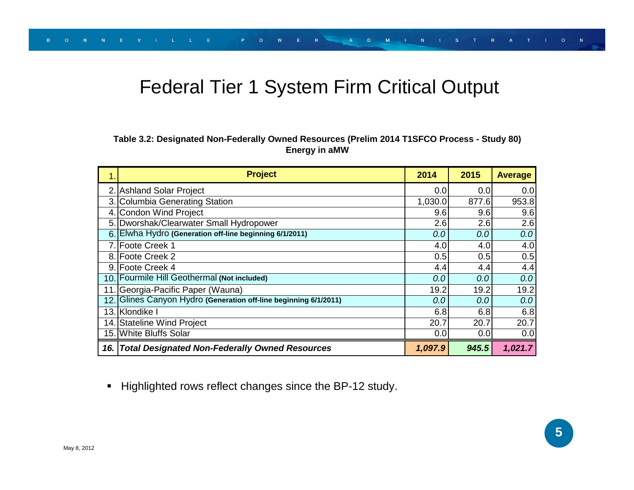#### **Table 3.2: Designated Non-Federally Owned Resources (Prelim 2014 T1SFCO Process - Study 80) Energy in aMW**

|     | <b>Project</b>                                               | 2014    | 2015  | <b>Average</b> |
|-----|--------------------------------------------------------------|---------|-------|----------------|
| 2   | Ashland Solar Project                                        | 0.0     | 0.0   | 0.0            |
| 3.  | Columbia Generating Station                                  | 1,030.0 | 877.6 | 953.8          |
| 4.  | Condon Wind Project                                          | 9.6     | 9.6   | 9.6            |
| 5.  | Dworshak/Clearwater Small Hydropower                         | 2.6     | 2.6   | 2.6            |
| 6   | Elwha Hydro (Generation off-line beginning 6/1/2011)         | 0.0     | 0.0   | 0.0            |
| 7   | Foote Creek 1                                                | 4.0     | 4.0   | 4.0            |
| 8.  | Foote Creek 2                                                | 0.5     | 0.5   | 0.5            |
| 9.  | Foote Creek 4                                                | 4.4     | 4.4   | 4.4            |
|     | 10. Fourmile Hill Geothermal (Not included)                  | 0.0     | 0.0   | 0.0            |
| 11. | Georgia-Pacific Paper (Wauna)                                | 19.2    | 19.2  | 19.2           |
| 12. | Glines Canyon Hydro (Generation off-line beginning 6/1/2011) | 0.0     | 0.0   | 0.0            |
|     | 13. Klondike I                                               | 6.8     | 6.8   | 6.8            |
| 14. | Stateline Wind Project                                       | 20.7    | 20.7  | 20.7           |
| 15. | <b>White Bluffs Solar</b>                                    | 0.0     | 0.0   | 0.0            |
|     | 16. Total Designated Non-Federally Owned Resources           | 1,097.9 | 945.5 | 1,021.7        |

■ Highlighted rows reflect changes since the BP-12 study.

 $\mathbf{B}$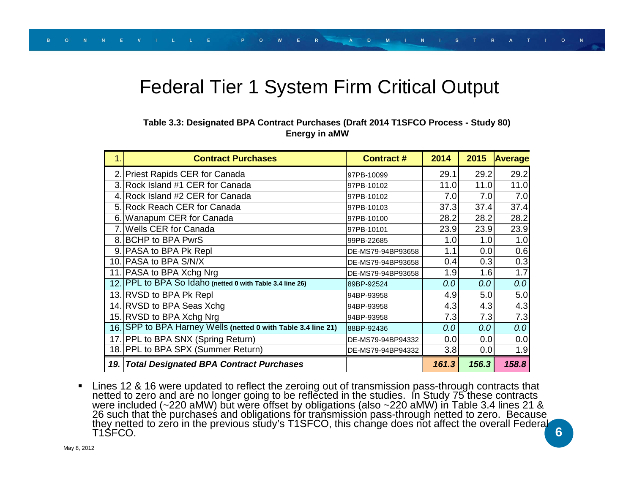#### **Energy in aMW Table 3.3: Designated BPA Contract Purchases (Draft 2014 T1SFCO Process - Study 80)**

|                | <b>Contract Purchases</b>                                     | <b>Contract#</b>  | 2014  | 2015  | <b>Average</b> |
|----------------|---------------------------------------------------------------|-------------------|-------|-------|----------------|
|                | 2. Priest Rapids CER for Canada                               | 97PB-10099        | 29.1  | 29.2  | 29.2           |
|                | 3. Rock Island #1 CER for Canada                              | 97PB-10102        | 11.0  | 11.0  | 11.0           |
| 4.             | Rock Island #2 CER for Canada                                 | 97PB-10102        | 7.0   | 7.0   | 7.0            |
|                | 5. Rock Reach CER for Canada                                  | 97PB-10103        | 37.3  | 37.4  | 37.4           |
| 6.             | Wanapum CER for Canada                                        | 97PB-10100        | 28.2  | 28.2  | 28.2           |
| $\overline{7}$ | <b>Wells CER for Canada</b>                                   | 97PB-10101        | 23.9  | 23.9  | 23.9           |
| 8.             | <b>BCHP</b> to BPA PwrS                                       | 99PB-22685        | 1.0   | 1.0   | 1.0            |
| 9.             | PASA to BPA Pk Repl                                           | DE-MS79-94BP93658 | 1.1   | 0.0   | 0.6            |
|                | 10. PASA to BPA S/N/X                                         | DE-MS79-94BP93658 | 0.4   | 0.3   | 0.3            |
|                | 11. PASA to BPA Xchg Nrg                                      | DE-MS79-94BP93658 | 1.9   | 1.6   | 1.7            |
|                | 12. PPL to BPA So Idaho (netted 0 with Table 3.4 line 26)     | 89BP-92524        | 0.0   | 0.0   | 0.0            |
|                | 13. RVSD to BPA Pk Repl                                       | 94BP-93958        | 4.9   | 5.0   | 5.0            |
|                | 14. RVSD to BPA Seas Xchg                                     | 94BP-93958        | 4.3   | 4.3   | 4.3            |
|                | 15. RVSD to BPA Xchg Nrg                                      | 94BP-93958        | 7.3   | 7.3   | 7.3            |
|                | 16. SPP to BPA Harney Wells (netted 0 with Table 3.4 line 21) | 88BP-92436        | 0.0   | 0.0   | 0.0            |
|                | 17. PPL to BPA SNX (Spring Return)                            | DE-MS79-94BP94332 | 0.0   | 0.0   | 0.0            |
|                | 18. PPL to BPA SPX (Summer Return)                            | DE-MS79-94BP94332 | 3.8   | 0.0   | 1.9            |
|                | 19. Total Designated BPA Contract Purchases                   |                   | 161.3 | 156.3 | 158.8          |

• Lines 12 & 16 were updated to reflect the zeroing out of transmission pass-through contracts that netted to zero and are no longer going to be reflected in the studies. In Study 75 these contracts<br>were included (~220 aMW) but were offset by obligations (also ~220 aMW) in Table 3.4 lines 21 &<br>26 such that the purchases